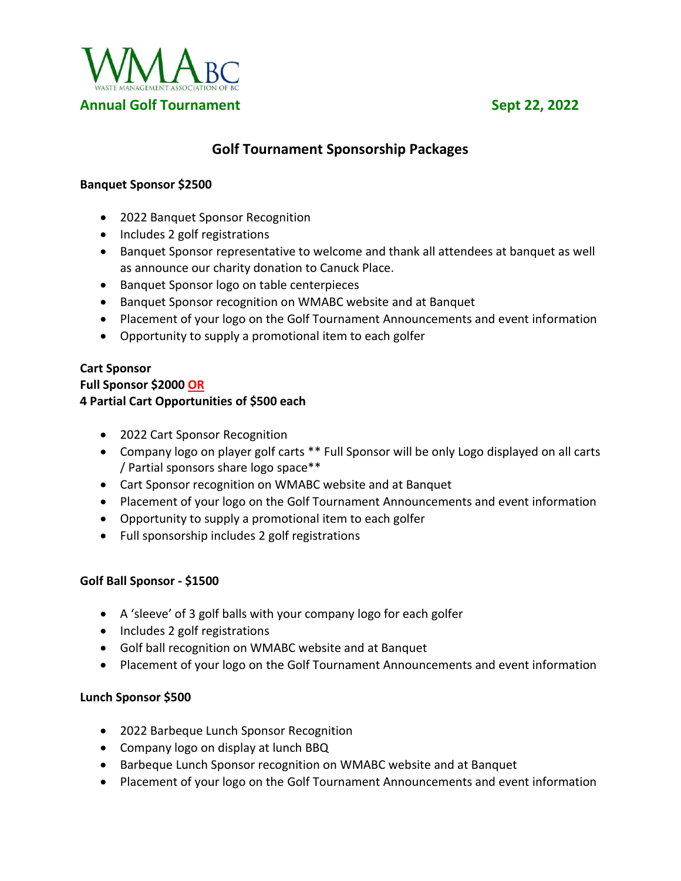

# **Golf Tournament Sponsorship Packages**

#### **Banquet Sponsor \$2500**

- 2022 Banquet Sponsor Recognition
- Includes 2 golf registrations
- Banquet Sponsor representative to welcome and thank all attendees at banquet as well as announce our charity donation to Canuck Place.
- Banquet Sponsor logo on table centerpieces
- Banquet Sponsor recognition on WMABC website and at Banquet
- Placement of your logo on the Golf Tournament Announcements and event information
- Opportunity to supply a promotional item to each golfer

# **Cart Sponsor Full Sponsor \$2000 OR 4 Partial Cart Opportunities of \$500 each**

- 2022 Cart Sponsor Recognition
- Company logo on player golf carts \*\* Full Sponsor will be only Logo displayed on all carts / Partial sponsors share logo space\*\*
- Cart Sponsor recognition on WMABC website and at Banquet
- Placement of your logo on the Golf Tournament Announcements and event information
- Opportunity to supply a promotional item to each golfer
- Full sponsorship includes 2 golf registrations

# **Golf Ball Sponsor - \$1500**

- A 'sleeve' of 3 golf balls with your company logo for each golfer
- Includes 2 golf registrations
- Golf ball recognition on WMABC website and at Banquet
- Placement of your logo on the Golf Tournament Announcements and event information

# **Lunch Sponsor \$500**

- 2022 Barbeque Lunch Sponsor Recognition
- Company logo on display at lunch BBQ
- Barbeque Lunch Sponsor recognition on WMABC website and at Banquet
- Placement of your logo on the Golf Tournament Announcements and event information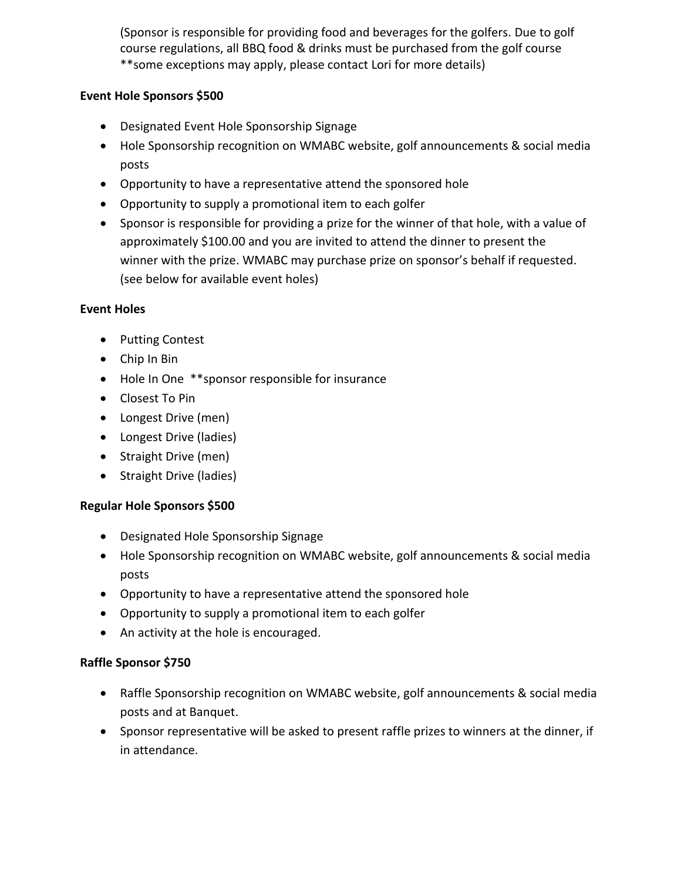(Sponsor is responsible for providing food and beverages for the golfers. Due to golf course regulations, all BBQ food & drinks must be purchased from the golf course \*\*some exceptions may apply, please contact Lori for more details)

### **Event Hole Sponsors \$500**

- Designated Event Hole Sponsorship Signage
- Hole Sponsorship recognition on WMABC website, golf announcements & social media posts
- Opportunity to have a representative attend the sponsored hole
- Opportunity to supply a promotional item to each golfer
- Sponsor is responsible for providing a prize for the winner of that hole, with a value of approximately \$100.00 and you are invited to attend the dinner to present the winner with the prize. WMABC may purchase prize on sponsor's behalf if requested. (see below for available event holes)

#### **Event Holes**

- Putting Contest
- Chip In Bin
- Hole In One \*\*sponsor responsible for insurance
- Closest To Pin
- Longest Drive (men)
- Longest Drive (ladies)
- Straight Drive (men)
- Straight Drive (ladies)

# **Regular Hole Sponsors \$500**

- Designated Hole Sponsorship Signage
- Hole Sponsorship recognition on WMABC website, golf announcements & social media posts
- Opportunity to have a representative attend the sponsored hole
- Opportunity to supply a promotional item to each golfer
- An activity at the hole is encouraged.

# **Raffle Sponsor \$750**

- Raffle Sponsorship recognition on WMABC website, golf announcements & social media posts and at Banquet.
- Sponsor representative will be asked to present raffle prizes to winners at the dinner, if in attendance.